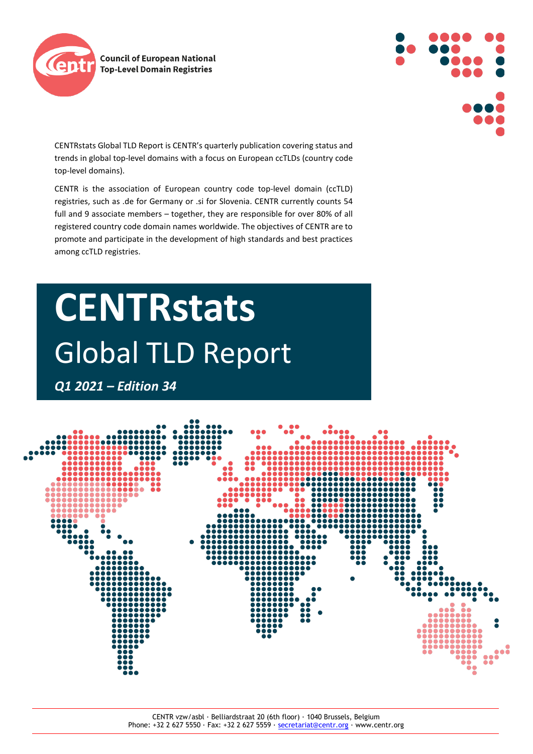



CENTRstats Global TLD Report is CENTR's quarterly publication covering status and trends in global top-level domains with a focus on European ccTLDs (country code top-level domains).

CENTR is the association of European country code top-level domain (ccTLD) registries, such as .de for Germany or .si for Slovenia. CENTR currently counts 54 full and 9 associate members – together, they are responsible for over 80% of all registered country code domain names worldwide. The objectives of CENTR are to promote and participate in the development of high standards and best practices among ccTLD registries.

# **CENTRstats** Global TLD Report

*Q1 2021 – Edition 34*

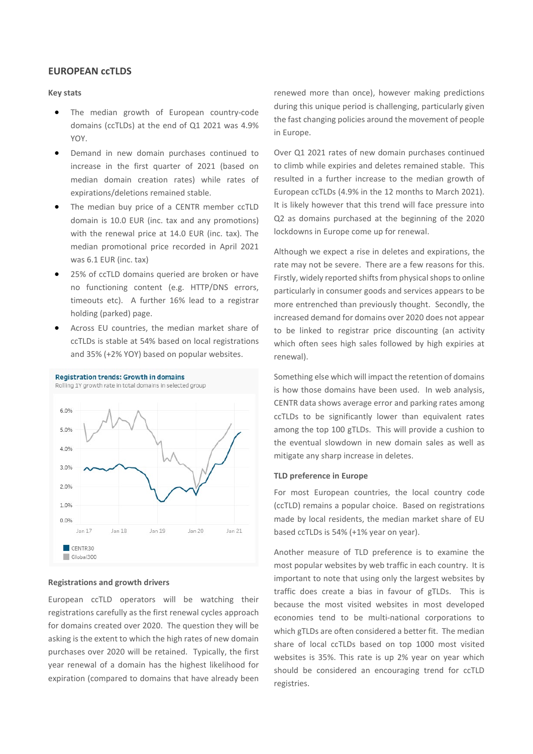# **EUROPEAN ccTLDS**

# **Key stats**

- The median growth of European country-code domains (ccTLDs) at the end of Q1 2021 was 4.9% YOY.
- Demand in new domain purchases continued to increase in the first quarter of 2021 (based on median domain creation rates) while rates of expirations/deletions remained stable.
- The median buy price of a CENTR member ccTLD domain is 10.0 EUR (inc. tax and any promotions) with the renewal price at 14.0 EUR (inc. tax). The median promotional price recorded in April 2021 was 6.1 EUR (inc. tax)
- 25% of ccTLD domains queried are broken or have no functioning content (e.g. HTTP/DNS errors, timeouts etc). A further 16% lead to a registrar holding (parked) page.
- Across EU countries, the median market share of ccTLDs is stable at 54% based on local registrations and 35% (+2% YOY) based on popular websites.



### **Registrations and growth drivers**

European ccTLD operators will be watching their registrations carefully as the first renewal cycles approach for domains created over 2020. The question they will be asking is the extent to which the high rates of new domain purchases over 2020 will be retained. Typically, the first year renewal of a domain has the highest likelihood for expiration (compared to domains that have already been renewed more than once), however making predictions during this unique period is challenging, particularly given the fast changing policies around the movement of people in Europe.

Over Q1 2021 rates of new domain purchases continued to climb while expiries and deletes remained stable. This resulted in a further increase to the median growth of European ccTLDs (4.9% in the 12 months to March 2021). It is likely however that this trend will face pressure into Q2 as domains purchased at the beginning of the 2020 lockdowns in Europe come up for renewal.

Although we expect a rise in deletes and expirations, the rate may not be severe. There are a few reasons for this. Firstly, widely reported shifts from physical shops to online particularly in consumer goods and services appears to be more entrenched than previously thought. Secondly, the increased demand for domains over 2020 does not appear to be linked to registrar price discounting (an activity which often sees high sales followed by high expiries at renewal).

Something else which will impact the retention of domains is how those domains have been used. In web analysis, CENTR data shows average error and parking rates among ccTLDs to be significantly lower than equivalent rates among the top 100 gTLDs. This will provide a cushion to the eventual slowdown in new domain sales as well as mitigate any sharp increase in deletes.

## **TLD preference in Europe**

For most European countries, the local country code (ccTLD) remains a popular choice. Based on registrations made by local residents, the median market share of EU based ccTLDs is 54% (+1% year on year).

Another measure of TLD preference is to examine the most popular websites by web traffic in each country. It is important to note that using only the largest websites by traffic does create a bias in favour of gTLDs. This is because the most visited websites in most developed economies tend to be multi-national corporations to which gTLDs are often considered a better fit. The median share of local ccTLDs based on top 1000 most visited websites is 35%. This rate is up 2% year on year which should be considered an encouraging trend for ccTLD registries.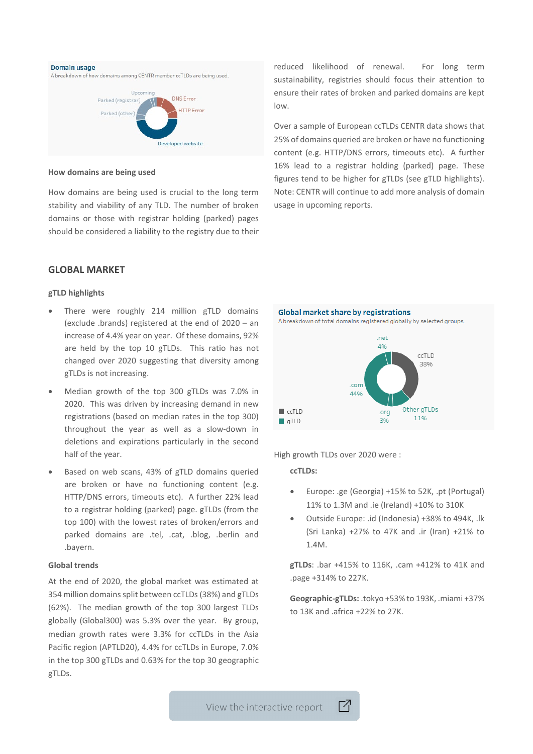

### **How domains are being used**

How domains are being used is crucial to the long term stability and viability of any TLD. The number of broken domains or those with registrar holding (parked) pages should be considered a liability to the registry due to their reduced likelihood of renewal. For long term sustainability, registries should focus their attention to ensure their rates of broken and parked domains are kept low.

Over a sample of European ccTLDs CENTR data shows that 25% of domains queried are broken or have no functioning content (e.g. HTTP/DNS errors, timeouts etc). A further 16% lead to a registrar holding (parked) page. These figures tend to be higher for gTLDs (see gTLD highlights). Note: CENTR will continue to add more analysis of domain usage in upcoming reports.

# **GLOBAL MARKET**

## **gTLD highlights**

- There were roughly 214 million gTLD domains (exclude .brands) registered at the end of 2020 – an increase of 4.4% year on year. Of these domains, 92% are held by the top 10 gTLDs. This ratio has not changed over 2020 suggesting that diversity among gTLDs is not increasing.
- Median growth of the top 300 gTLDs was 7.0% in 2020. This was driven by increasing demand in new registrations (based on median rates in the top 300) throughout the year as well as a slow-down in deletions and expirations particularly in the second half of the year.
- Based on web scans, 43% of gTLD domains queried are broken or have no functioning content (e.g. HTTP/DNS errors, timeouts etc). A further 22% lead to a registrar holding (parked) page. gTLDs (from the top 100) with the lowest rates of broken/errors and parked domains are .tel, .cat, .blog, .berlin and .bayern.

### **Global trends**

At the end of 2020, the global market was estimated at 354 million domains split between ccTLDs (38%) and gTLDs (62%). The median growth of the top 300 largest TLDs globally (Global300) was 5.3% over the year. By group, median growth rates were 3.3% for ccTLDs in the Asia Pacific region (APTLD20), 4.4% for ccTLDs in Europe, 7.0% in the top 300 gTLDs and 0.63% for the top 30 geographic gTLDs.



High growth TLDs over 2020 were :

 $\Box$ 

# **ccTLDs:**

- Europe: .ge (Georgia) +15% to 52K, .pt (Portugal) 11% to 1.3M and .ie (Ireland) +10% to 310K
- Outside Europe: .id (Indonesia) +38% to 494K, .lk (Sri Lanka) +27% to 47K and .ir (Iran) +21% to 1.4M.

**gTLDs**: .bar +415% to 116K, .cam +412% to 41K and .page +314% to 227K.

**Geographic-gTLDs:** .tokyo +53% to 193K, .miami +37% to 13K and .africa +22% to 27K.